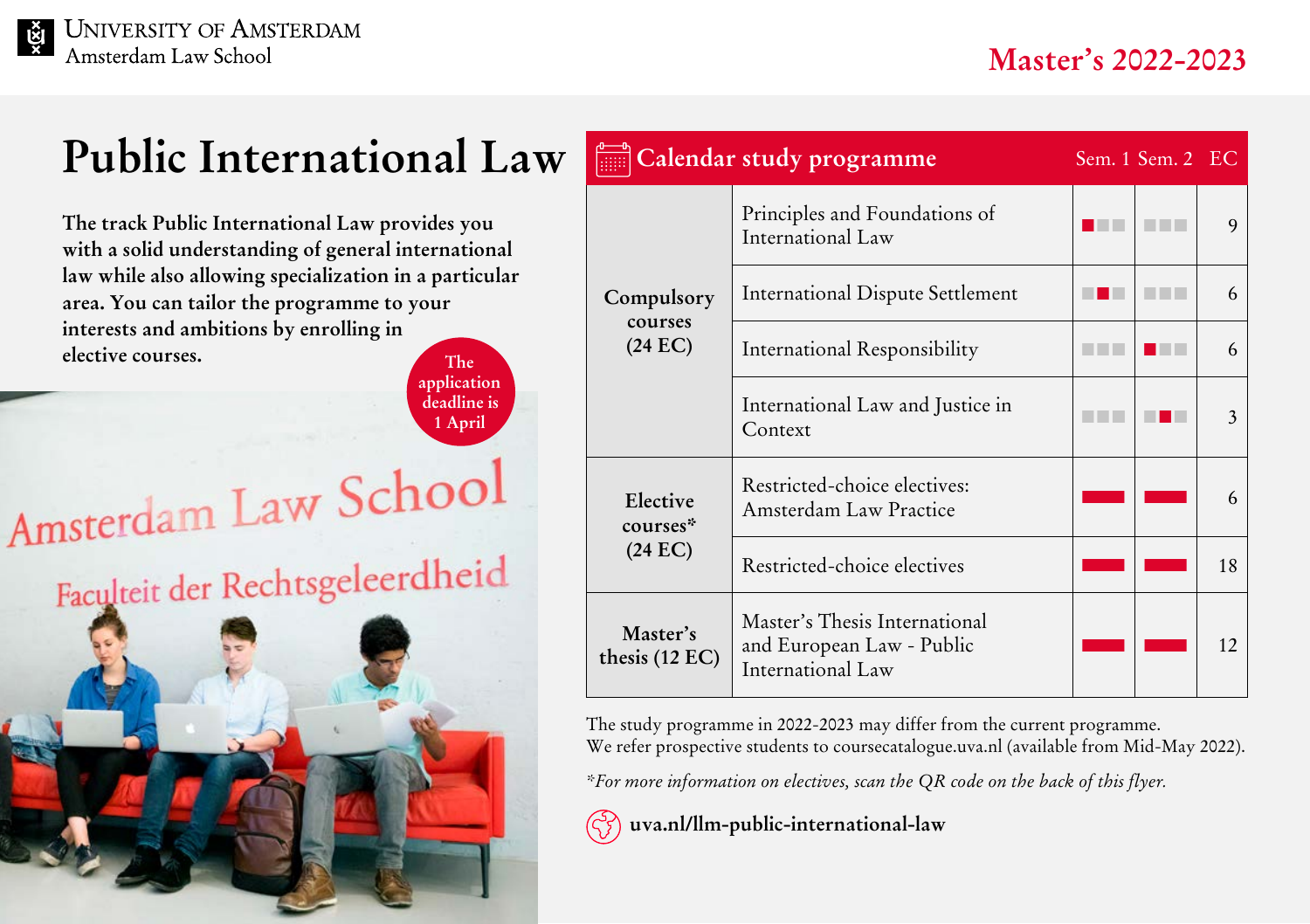## **Public International Law**

**The track Public International Law provides you with a solid understanding of general international law while also allowing specialization in a particular area. You can tailor the programme to your interests and ambitions by enrolling in elective courses.** The **The** 

**application deadline is 1 April**

# Amsterdam Law School Faculteit der Rechtsgeleerdheid



| Calendar study programme<br>Sem. 1 Sem. 2 EC |                                                                                 |  |  |    |  |
|----------------------------------------------|---------------------------------------------------------------------------------|--|--|----|--|
| Compulsory<br>courses<br>$(24 \text{ EC})$   | Principles and Foundations of<br>International Law                              |  |  | 9  |  |
|                                              | <b>International Dispute Settlement</b>                                         |  |  | 6  |  |
|                                              | International Responsibility                                                    |  |  | 6  |  |
|                                              | International Law and Justice in<br>Context                                     |  |  | 3  |  |
| Elective<br>courses*<br>$(24 \text{ EC})$    | Restricted-choice electives:<br>Amsterdam Law Practice                          |  |  |    |  |
|                                              | Restricted-choice electives                                                     |  |  | 18 |  |
| Master's<br>thesis (12 EC)                   | Master's Thesis International<br>and European Law - Public<br>International Law |  |  | 12 |  |

The study programme in 2022-2023 may differ from the current programme. We refer prospective students to [coursecatalogue.uva.nl](http://coursecatalogue.uva.nl) (available from Mid-May 2022).

*\*For more information on electives, scan the QR code on the back of this flyer.*



 **[uva.nl/llm-public-international-law](http://uva.nl/llm-public-international-law)**